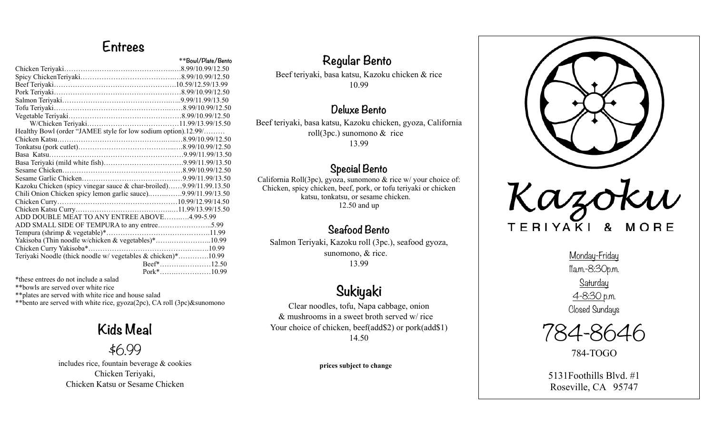## **Entrees**

|                                                                     | **Bowl/Plate/Bento |
|---------------------------------------------------------------------|--------------------|
|                                                                     |                    |
|                                                                     |                    |
|                                                                     |                    |
|                                                                     |                    |
|                                                                     |                    |
|                                                                     |                    |
|                                                                     |                    |
|                                                                     |                    |
| Healthy Bowl (order "JAMEE style for low sodium option).12.99/      |                    |
|                                                                     |                    |
|                                                                     |                    |
|                                                                     |                    |
|                                                                     |                    |
|                                                                     |                    |
|                                                                     |                    |
| Kazoku Chicken (spicy vinegar sauce & char-broiled)9.99/11.99.13.50 |                    |
| Chili Onion Chicken spicy lemon garlic sauce)9.99/11.99/13.50       |                    |
|                                                                     |                    |
|                                                                     |                    |
| ADD DOUBLE MEAT TO ANY ENTREE ABOVE4.99-5.99                        |                    |
|                                                                     |                    |
|                                                                     |                    |
| Yakisoba (Thin noodle w/chicken & vegetables)*10.99                 |                    |
|                                                                     |                    |
| Teriyaki Noodle (thick noodle w/ vegetables & chicken)*10.99        |                    |
|                                                                     | Beef*12.50         |
|                                                                     | Pork*10.99         |

\*these entrees do not include a salad

\*\*bowls are served over white rice

\*\*plates are served with white rice and house salad

\*\*bento are served with white rice, gyoza(2pc), CA roll (3pc)&sunomono

#### **Kids Meal**

\$6.99

includes rice, fountain beverage & cookies Chicken Teriyaki, Chicken Katsu or Sesame Chicken

#### **Regular Bento**

Beef teriyaki, basa katsu, Kazoku chicken & rice 10.99

#### **Deluxe Bento**

Beef teriyaki, basa katsu, Kazoku chicken, gyoza, California roll(3pc.) sunomono & rice 13.99

#### **Special Bento**

California Roll(3pc), gyoza, sunomono & rice w/ your choice of: Chicken, spicy chicken, beef, pork, or tofu teriyaki or chicken katsu, tonkatsu, or sesame chicken. 12.50 and up

#### **Seafood Bento**

Salmon Teriyaki, Kazoku roll (3pc.), seafood gyoza, sunomono, & rice. 13.99

# **Sukiyaki**

Clear noodles, tofu, Napa cabbage, onion & mushrooms in a sweet broth served w/ rice Your choice of chicken, beef(add\$2) or pork(add\$1) 14.50

**prices subject to change**



# TERIYAKI &

Monday-Friday 11a.m.-8:30p.m. **Saturday** 4-8:30 p.m. Closed Sundays



784-TOGO

5131Foothills Blvd. #1 Roseville, CA 95747